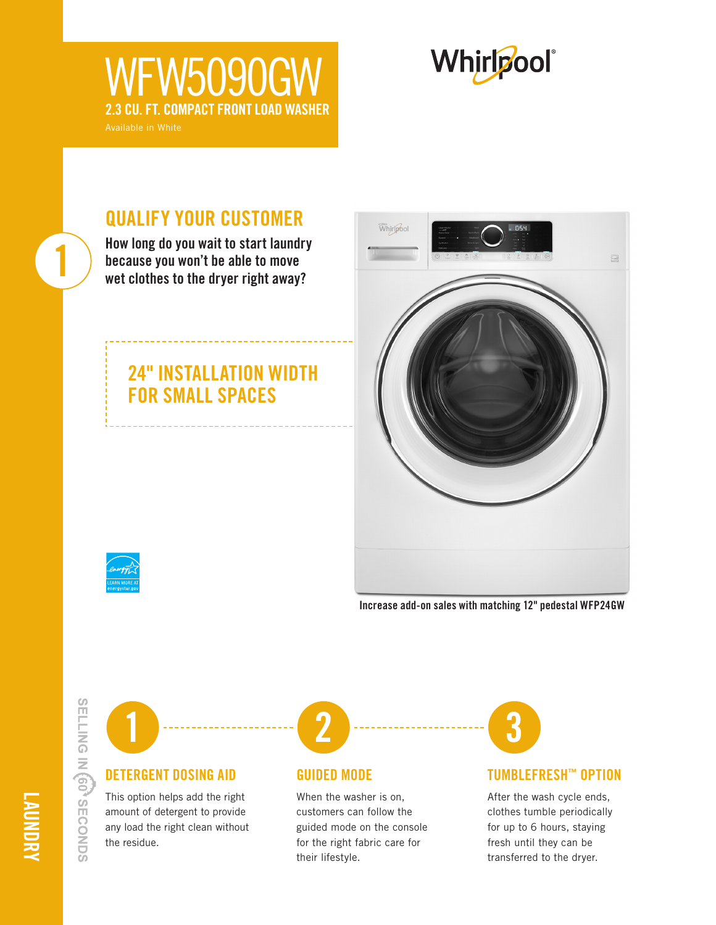# **WFW5090GV** 2.3 CU. FT. COMPACT FRONT LOAD WASHER



# QUALIFY YOUR CUSTOMER

How long do you wait to start laundry because you won't be able to move wet clothes to the dryer right away?

### 24" INSTALLATION WIDTH FOR SMALL SPACES



1

Increase add-on sales with matching 12" pedestal WFP24GW

SELLING IN 60<sup>3</sup> SECONDS



#### DETERGENT DOSING AID

This option helps add the right amount of detergent to provide any load the right clean without the residue.



#### GUIDED MODE

When the washer is on, customers can follow the guided mode on the console for the right fabric care for their lifestyle.



#### TUMBLEFRESH™ OPTION

After the wash cycle ends, clothes tumble periodically for up to 6 hours, staying fresh until they can be transferred to the dryer.